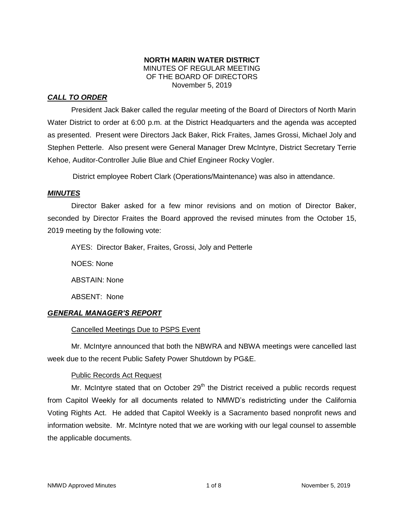## **NORTH MARIN WATER DISTRICT** MINUTES OF REGULAR MEETING OF THE BOARD OF DIRECTORS November 5, 2019

# *CALL TO ORDER*

President Jack Baker called the regular meeting of the Board of Directors of North Marin Water District to order at 6:00 p.m. at the District Headquarters and the agenda was accepted as presented. Present were Directors Jack Baker, Rick Fraites, James Grossi, Michael Joly and Stephen Petterle. Also present were General Manager Drew McIntyre, District Secretary Terrie Kehoe, Auditor-Controller Julie Blue and Chief Engineer Rocky Vogler.

District employee Robert Clark (Operations/Maintenance) was also in attendance.

## *MINUTES*

Director Baker asked for a few minor revisions and on motion of Director Baker, seconded by Director Fraites the Board approved the revised minutes from the October 15, 2019 meeting by the following vote:

AYES: Director Baker, Fraites, Grossi, Joly and Petterle

NOES: None ABSTAIN: None

ABSENT: None

# *GENERAL MANAGER'S REPORT*

# Cancelled Meetings Due to PSPS Event

Mr. McIntyre announced that both the NBWRA and NBWA meetings were cancelled last week due to the recent Public Safety Power Shutdown by PG&E.

# Public Records Act Request

Mr. McIntyre stated that on October  $29<sup>th</sup>$  the District received a public records request from Capitol Weekly for all documents related to NMWD's redistricting under the California Voting Rights Act. He added that Capitol Weekly is a Sacramento based nonprofit news and information website. Mr. McIntyre noted that we are working with our legal counsel to assemble the applicable documents.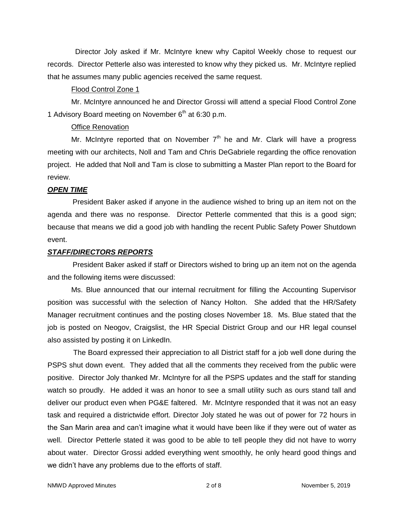Director Joly asked if Mr. McIntyre knew why Capitol Weekly chose to request our records. Director Petterle also was interested to know why they picked us. Mr. McIntyre replied that he assumes many public agencies received the same request.

#### Flood Control Zone 1

Mr. McIntyre announced he and Director Grossi will attend a special Flood Control Zone 1 Advisory Board meeting on November  $6<sup>th</sup>$  at 6:30 p.m.

#### Office Renovation

Mr. McIntyre reported that on November  $7<sup>th</sup>$  he and Mr. Clark will have a progress meeting with our architects, Noll and Tam and Chris DeGabriele regarding the office renovation project. He added that Noll and Tam is close to submitting a Master Plan report to the Board for review.

#### *OPEN TIME*

President Baker asked if anyone in the audience wished to bring up an item not on the agenda and there was no response. Director Petterle commented that this is a good sign; because that means we did a good job with handling the recent Public Safety Power Shutdown event.

#### *STAFF/DIRECTORS REPORTS*

President Baker asked if staff or Directors wished to bring up an item not on the agenda and the following items were discussed:

Ms. Blue announced that our internal recruitment for filling the Accounting Supervisor position was successful with the selection of Nancy Holton. She added that the HR/Safety Manager recruitment continues and the posting closes November 18. Ms. Blue stated that the job is posted on Neogov, Craigslist, the HR Special District Group and our HR legal counsel also assisted by posting it on LinkedIn.

The Board expressed their appreciation to all District staff for a job well done during the PSPS shut down event. They added that all the comments they received from the public were positive. Director Joly thanked Mr. McIntyre for all the PSPS updates and the staff for standing watch so proudly. He added it was an honor to see a small utility such as ours stand tall and deliver our product even when PG&E faltered. Mr. McIntyre responded that it was not an easy task and required a districtwide effort. Director Joly stated he was out of power for 72 hours in the San Marin area and can't imagine what it would have been like if they were out of water as well. Director Petterle stated it was good to be able to tell people they did not have to worry about water. Director Grossi added everything went smoothly, he only heard good things and we didn't have any problems due to the efforts of staff.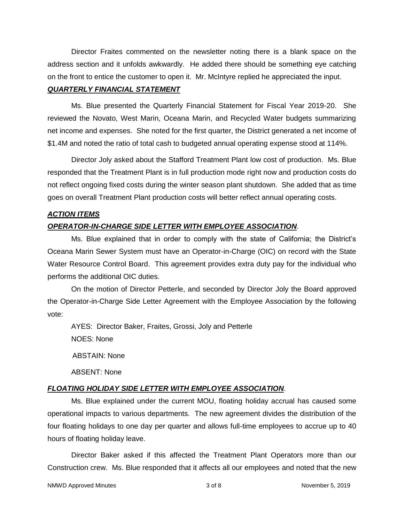Director Fraites commented on the newsletter noting there is a blank space on the address section and it unfolds awkwardly. He added there should be something eye catching on the front to entice the customer to open it. Mr. McIntyre replied he appreciated the input.

### *QUARTERLY FINANCIAL STATEMENT*

Ms. Blue presented the Quarterly Financial Statement for Fiscal Year 2019-20. She reviewed the Novato, West Marin, Oceana Marin, and Recycled Water budgets summarizing net income and expenses. She noted for the first quarter, the District generated a net income of \$1.4M and noted the ratio of total cash to budgeted annual operating expense stood at 114%.

Director Joly asked about the Stafford Treatment Plant low cost of production. Ms. Blue responded that the Treatment Plant is in full production mode right now and production costs do not reflect ongoing fixed costs during the winter season plant shutdown. She added that as time goes on overall Treatment Plant production costs will better reflect annual operating costs.

## *ACTION ITEMS*

## *OPERATOR-IN-CHARGE SIDE LETTER WITH EMPLOYEE ASSOCIATION*.

Ms. Blue explained that in order to comply with the state of California; the District's Oceana Marin Sewer System must have an Operator-in-Charge (OIC) on record with the State Water Resource Control Board. This agreement provides extra duty pay for the individual who performs the additional OIC duties.

On the motion of Director Petterle, and seconded by Director Joly the Board approved the Operator-in-Charge Side Letter Agreement with the Employee Association by the following vote:

AYES: Director Baker, Fraites, Grossi, Joly and Petterle NOES: None ABSTAIN: None

*FLOATING HOLIDAY SIDE LETTER WITH EMPLOYEE ASSOCIATION*.

Ms. Blue explained under the current MOU, floating holiday accrual has caused some operational impacts to various departments. The new agreement divides the distribution of the four floating holidays to one day per quarter and allows full-time employees to accrue up to 40 hours of floating holiday leave.

Director Baker asked if this affected the Treatment Plant Operators more than our Construction crew. Ms. Blue responded that it affects all our employees and noted that the new

ABSENT: None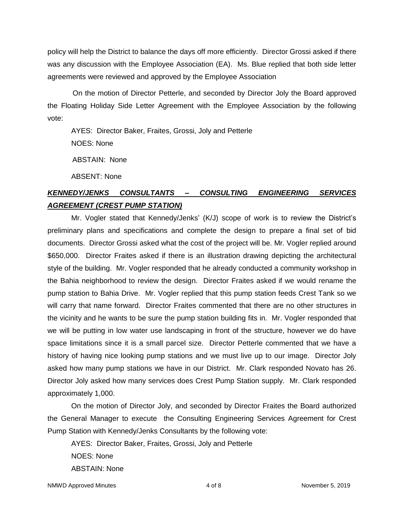policy will help the District to balance the days off more efficiently. Director Grossi asked if there was any discussion with the Employee Association (EA). Ms. Blue replied that both side letter agreements were reviewed and approved by the Employee Association

On the motion of Director Petterle, and seconded by Director Joly the Board approved the Floating Holiday Side Letter Agreement with the Employee Association by the following vote:

AYES: Director Baker, Fraites, Grossi, Joly and Petterle NOES: None ABSTAIN: None

ABSENT: None

# *KENNEDY/JENKS CONSULTANTS – CONSULTING ENGINEERING SERVICES AGREEMENT (CREST PUMP STATION)*

Mr. Vogler stated that Kennedy/Jenks' (K/J) scope of work is to review the District's preliminary plans and specifications and complete the design to prepare a final set of bid documents. Director Grossi asked what the cost of the project will be. Mr. Vogler replied around \$650,000. Director Fraites asked if there is an illustration drawing depicting the architectural style of the building. Mr. Vogler responded that he already conducted a community workshop in the Bahia neighborhood to review the design. Director Fraites asked if we would rename the pump station to Bahia Drive. Mr. Vogler replied that this pump station feeds Crest Tank so we will carry that name forward. Director Fraites commented that there are no other structures in the vicinity and he wants to be sure the pump station building fits in. Mr. Vogler responded that we will be putting in low water use landscaping in front of the structure, however we do have space limitations since it is a small parcel size. Director Petterle commented that we have a history of having nice looking pump stations and we must live up to our image. Director Joly asked how many pump stations we have in our District. Mr. Clark responded Novato has 26. Director Joly asked how many services does Crest Pump Station supply. Mr. Clark responded approximately 1,000.

On the motion of Director Joly, and seconded by Director Fraites the Board authorized the General Manager to execute the Consulting Engineering Services Agreement for Crest Pump Station with Kennedy/Jenks Consultants by the following vote:

AYES: Director Baker, Fraites, Grossi, Joly and Petterle NOES: None ABSTAIN: None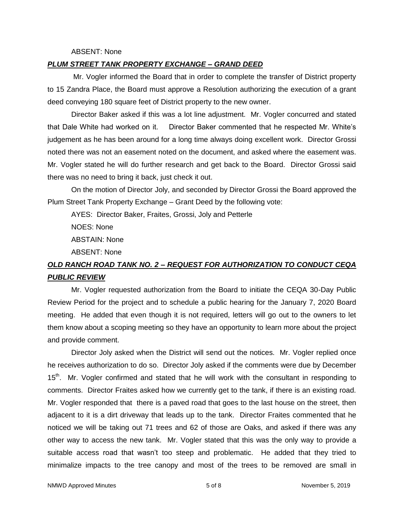#### ABSENT: None

#### *PLUM STREET TANK PROPERTY EXCHANGE – GRAND DEED*

Mr. Vogler informed the Board that in order to complete the transfer of District property to 15 Zandra Place, the Board must approve a Resolution authorizing the execution of a grant deed conveying 180 square feet of District property to the new owner.

Director Baker asked if this was a lot line adjustment. Mr. Vogler concurred and stated that Dale White had worked on it. Director Baker commented that he respected Mr. White's judgement as he has been around for a long time always doing excellent work. Director Grossi noted there was not an easement noted on the document, and asked where the easement was. Mr. Vogler stated he will do further research and get back to the Board. Director Grossi said there was no need to bring it back, just check it out.

On the motion of Director Joly, and seconded by Director Grossi the Board approved the Plum Street Tank Property Exchange – Grant Deed by the following vote:

AYES: Director Baker, Fraites, Grossi, Joly and Petterle

NOES: None ABSTAIN: None

ABSENT: None

# *OLD RANCH ROAD TANK NO. 2 – REQUEST FOR AUTHORIZATION TO CONDUCT CEQA PUBLIC REVIEW*

Mr. Vogler requested authorization from the Board to initiate the CEQA 30-Day Public Review Period for the project and to schedule a public hearing for the January 7, 2020 Board meeting. He added that even though it is not required, letters will go out to the owners to let them know about a scoping meeting so they have an opportunity to learn more about the project and provide comment.

Director Joly asked when the District will send out the notices. Mr. Vogler replied once he receives authorization to do so. Director Joly asked if the comments were due by December 15<sup>th</sup>. Mr. Vogler confirmed and stated that he will work with the consultant in responding to comments. Director Fraites asked how we currently get to the tank, if there is an existing road. Mr. Vogler responded that there is a paved road that goes to the last house on the street, then adjacent to it is a dirt driveway that leads up to the tank. Director Fraites commented that he noticed we will be taking out 71 trees and 62 of those are Oaks, and asked if there was any other way to access the new tank. Mr. Vogler stated that this was the only way to provide a suitable access road that wasn't too steep and problematic. He added that they tried to minimalize impacts to the tree canopy and most of the trees to be removed are small in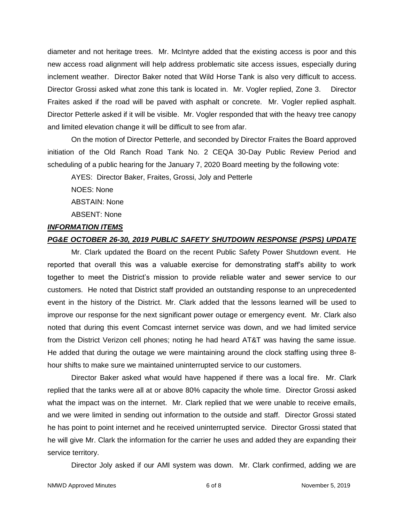diameter and not heritage trees. Mr. McIntyre added that the existing access is poor and this new access road alignment will help address problematic site access issues, especially during inclement weather. Director Baker noted that Wild Horse Tank is also very difficult to access. Director Grossi asked what zone this tank is located in. Mr. Vogler replied, Zone 3. Director Fraites asked if the road will be paved with asphalt or concrete. Mr. Vogler replied asphalt. Director Petterle asked if it will be visible. Mr. Vogler responded that with the heavy tree canopy and limited elevation change it will be difficult to see from afar.

On the motion of Director Petterle, and seconded by Director Fraites the Board approved initiation of the Old Ranch Road Tank No. 2 CEQA 30-Day Public Review Period and scheduling of a public hearing for the January 7, 2020 Board meeting by the following vote:

AYES: Director Baker, Fraites, Grossi, Joly and Petterle

NOES: None

ABSTAIN: None

ABSENT: None

## *INFORMATION ITEMS*

### *PG&E OCTOBER 26-30, 2019 PUBLIC SAFETY SHUTDOWN RESPONSE (PSPS) UPDATE*

Mr. Clark updated the Board on the recent Public Safety Power Shutdown event. He reported that overall this was a valuable exercise for demonstrating staff's ability to work together to meet the District's mission to provide reliable water and sewer service to our customers. He noted that District staff provided an outstanding response to an unprecedented event in the history of the District. Mr. Clark added that the lessons learned will be used to improve our response for the next significant power outage or emergency event. Mr. Clark also noted that during this event Comcast internet service was down, and we had limited service from the District Verizon cell phones; noting he had heard AT&T was having the same issue. He added that during the outage we were maintaining around the clock staffing using three 8 hour shifts to make sure we maintained uninterrupted service to our customers.

Director Baker asked what would have happened if there was a local fire. Mr. Clark replied that the tanks were all at or above 80% capacity the whole time. Director Grossi asked what the impact was on the internet. Mr. Clark replied that we were unable to receive emails, and we were limited in sending out information to the outside and staff. Director Grossi stated he has point to point internet and he received uninterrupted service. Director Grossi stated that he will give Mr. Clark the information for the carrier he uses and added they are expanding their service territory.

Director Joly asked if our AMI system was down. Mr. Clark confirmed, adding we are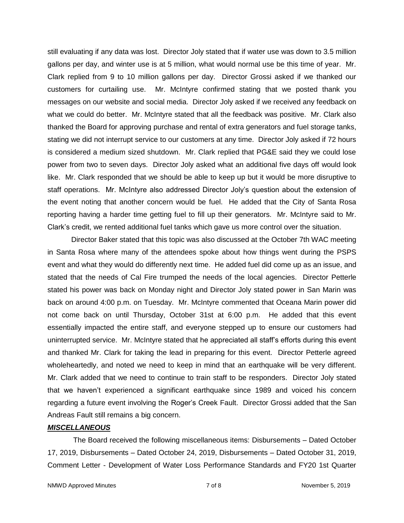still evaluating if any data was lost. Director Joly stated that if water use was down to 3.5 million gallons per day, and winter use is at 5 million, what would normal use be this time of year. Mr. Clark replied from 9 to 10 million gallons per day. Director Grossi asked if we thanked our customers for curtailing use. Mr. McIntyre confirmed stating that we posted thank you messages on our website and social media. Director Joly asked if we received any feedback on what we could do better. Mr. McIntyre stated that all the feedback was positive. Mr. Clark also thanked the Board for approving purchase and rental of extra generators and fuel storage tanks, stating we did not interrupt service to our customers at any time. Director Joly asked if 72 hours is considered a medium sized shutdown. Mr. Clark replied that PG&E said they we could lose power from two to seven days. Director Joly asked what an additional five days off would look like. Mr. Clark responded that we should be able to keep up but it would be more disruptive to staff operations. Mr. McIntyre also addressed Director Joly's question about the extension of the event noting that another concern would be fuel. He added that the City of Santa Rosa reporting having a harder time getting fuel to fill up their generators. Mr. McIntyre said to Mr. Clark's credit, we rented additional fuel tanks which gave us more control over the situation.

Director Baker stated that this topic was also discussed at the October 7th WAC meeting in Santa Rosa where many of the attendees spoke about how things went during the PSPS event and what they would do differently next time. He added fuel did come up as an issue, and stated that the needs of Cal Fire trumped the needs of the local agencies. Director Petterle stated his power was back on Monday night and Director Joly stated power in San Marin was back on around 4:00 p.m. on Tuesday. Mr. McIntyre commented that Oceana Marin power did not come back on until Thursday, October 31st at 6:00 p.m. He added that this event essentially impacted the entire staff, and everyone stepped up to ensure our customers had uninterrupted service. Mr. McIntyre stated that he appreciated all staff's efforts during this event and thanked Mr. Clark for taking the lead in preparing for this event. Director Petterle agreed wholeheartedly, and noted we need to keep in mind that an earthquake will be very different. Mr. Clark added that we need to continue to train staff to be responders. Director Joly stated that we haven't experienced a significant earthquake since 1989 and voiced his concern regarding a future event involving the Roger's Creek Fault. Director Grossi added that the San Andreas Fault still remains a big concern.

## *MISCELLANEOUS*

The Board received the following miscellaneous items: Disbursements – Dated October 17, 2019, Disbursements – Dated October 24, 2019, Disbursements – Dated October 31, 2019, Comment Letter - Development of Water Loss Performance Standards and FY20 1st Quarter